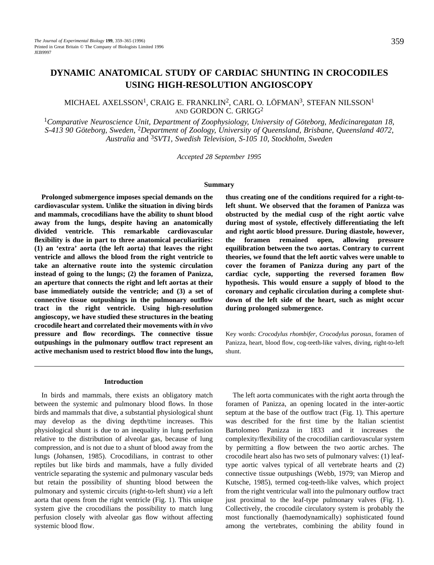# MICHAEL AXELSSON1, CRAIG E. FRANKLIN2, CARL O. LÖFMAN3, STEFAN NILSSON1 AND GORDON C. GRIGG2

<sup>1</sup>*Comparative Neuroscience Unit, Department of Zoophysiology, University of Göteborg, Medicinaregatan 18, S-413 90 Göteborg, Sweden,* 2*Department of Zoology, University of Queensland, Brisbane, Queensland 4072, Australia* and 3*SVT1, Swedish Television, S-105 10, Stockholm, Sweden*

*Accepted 28 September 1995*

#### **Summary**

**Prolonged submergence imposes special demands on the cardiovascular system. Unlike the situation in diving birds and mammals, crocodilians have the ability to shunt blood away from the lungs, despite having an anatomically divided ventricle. This remarkable cardiovascular flexibility is due in part to three anatomical peculiarities: (1) an 'extra' aorta (the left aorta) that leaves the right ventricle and allows the blood from the right ventricle to take an alternative route into the systemic circulation instead of going to the lungs; (2) the foramen of Panizza, an aperture that connects the right and left aortas at their base immediately outside the ventricle; and (3) a set of connective tissue outpushings in the pulmonary outflow tract in the right ventricle. Using high-resolution angioscopy, we have studied these structures in the beating crocodile heart and correlated their movements with** *in vivo* **pressure and flow recordings. The connective tissue outpushings in the pulmonary outflow tract represent an active mechanism used to restrict blood flow into the lungs,**

**thus creating one of the conditions required for a right-toleft shunt. We observed that the foramen of Panizza was obstructed by the medial cusp of the right aortic valve during most of systole, effectively differentiating the left and right aortic blood pressure. During diastole, however, the foramen remained open, allowing pressure equilibration between the two aortas. Contrary to current theories, we found that the left aortic valves were unable to cover the foramen of Panizza during any part of the cardiac cycle, supporting the reversed foramen flow hypothesis. This would ensure a supply of blood to the coronary and cephalic circulation during a complete shutdown of the left side of the heart, such as might occur during prolonged submergence.**

Key words: *Crocodylus rhombifer*, *Crocodylus porosus*, foramen of Panizza, heart, blood flow, cog-teeth-like valves, diving, right-to-left shunt.

#### **Introduction**

In birds and mammals, there exists an obligatory match between the systemic and pulmonary blood flows. In those birds and mammals that dive, a substantial physiological shunt may develop as the diving depth/time increases. This physiological shunt is due to an inequality in lung perfusion relative to the distribution of alveolar gas, because of lung compression, and is not due to a shunt of blood away from the lungs (Johansen, 1985). Crocodilians, in contrast to other reptiles but like birds and mammals, have a fully divided ventricle separating the systemic and pulmonary vascular beds but retain the possibility of shunting blood between the pulmonary and systemic circuits (right-to-left shunt) *via* a left aorta that opens from the right ventricle (Fig. 1). This unique system give the crocodilians the possibility to match lung perfusion closely with alveolar gas flow without affecting systemic blood flow.

The left aorta communicates with the right aorta through the foramen of Panizza, an opening located in the inter-aortic septum at the base of the outflow tract (Fig. 1). This aperture was described for the first time by the Italian scientist Bartolomeo Panizza in 1833 and it increases the complexity/flexibility of the crocodilian cardiovascular system by permitting a flow between the two aortic arches. The crocodile heart also has two sets of pulmonary valves: (1) leaftype aortic valves typical of all vertebrate hearts and (2) connective tissue outpushings (Webb, 1979; van Mierop and Kutsche, 1985), termed cog-teeth-like valves, which project from the right ventricular wall into the pulmonary outflow tract just proximal to the leaf-type pulmonary valves (Fig. 1). Collectively, the crocodile circulatory system is probably the most functionally (haemodynamically) sophisticated found among the vertebrates, combining the ability found in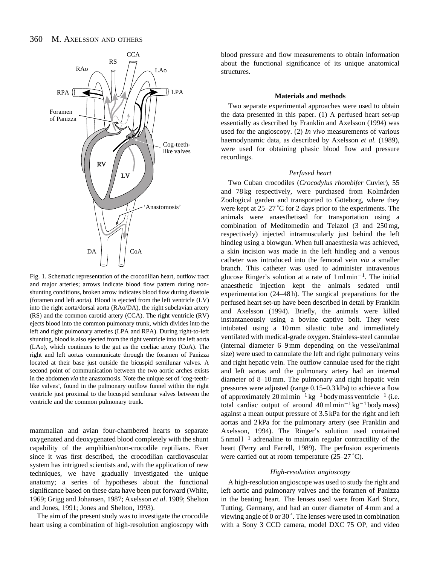#### 360 M. AXELSSON AND OTHERS



Fig. 1. Schematic representation of the crocodilian heart, outflow tract and major arteries; arrows indicate blood flow pattern during nonshunting conditions, broken arrow indicates blood flow during diastole (foramen and left aorta). Blood is ejected from the left ventricle (LV) into the right aorta/dorsal aorta (RAo/DA), the right subclavian artery (RS) and the common carotid artery (CCA). The right ventricle (RV) ejects blood into the common pulmonary trunk, which divides into the left and right pulmonary arteries (LPA and RPA). During right-to-left shunting, blood is also ejected from the right ventricle into the left aorta (LAo), which continues to the gut as the coeliac artery (CoA). The right and left aortas communicate through the foramen of Panizza located at their base just outside the bicuspid semilunar valves. A second point of communication between the two aortic arches exists in the abdomen *via* the anastomosis. Note the unique set of 'cog-teethlike valves', found in the pulmonary outflow funnel within the right ventricle just proximal to the bicuspid semilunar valves between the ventricle and the common pulmonary trunk.

mammalian and avian four-chambered hearts to separate oxygenated and deoxygenated blood completely with the shunt capability of the amphibian/non-crocodile reptilians. Ever since it was first described, the crocodilian cardiovascular system has intrigued scientists and, with the application of new techniques, we have gradually investigated the unique anatomy; a series of hypotheses about the functional significance based on these data have been put forward (White, 1969; Grigg and Johansen, 1987; Axelsson *et al*. 1989; Shelton and Jones, 1991; Jones and Shelton, 1993).

The aim of the present study was to investigate the crocodile heart using a combination of high-resolution angioscopy with

blood pressure and flow measurements to obtain information about the functional significance of its unique anatomical structures.

#### **Materials and methods**

Two separate experimental approaches were used to obtain the data presented in this paper. (1) A perfused heart set-up essentially as described by Franklin and Axelsson (1994) was used for the angioscopy. (2) *In vivo* measurements of various haemodynamic data, as described by Axelsson *et al.* (1989), were used for obtaining phasic blood flow and pressure recordings.

#### *Perfused heart*

Two Cuban crocodiles (*Crocodylus rhombifer* Cuvier), 55 and 78 kg respectively, were purchased from Kolmården Zoological garden and transported to Göteborg, where they were kept at 25–27 ˚C for 2 days prior to the experiments. The animals were anaesthetised for transportation using a combination of Meditomedin and Telazol (3 and 250 mg, respectively) injected intramuscularly just behind the left hindleg using a blowgun. When full anaesthesia was achieved, a skin incision was made in the left hindleg and a venous catheter was introduced into the femoral vein *via* a smaller branch. This catheter was used to administer intravenous glucose Ringer's solution at a rate of  $1 \text{ ml min}^{-1}$ . The initial anaesthetic injection kept the animals sedated until experimentation (24–48 h). The surgical preparations for the perfused heart set-up have been described in detail by Franklin and Axelsson (1994). Briefly, the animals were killed instantaneously using a bovine captive bolt. They were intubated using a 10 mm silastic tube and immediately ventilated with medical-grade oxygen. Stainless-steel cannulae (internal diameter 6–9 mm depending on the vessel/animal size) were used to cannulate the left and right pulmonary veins and right hepatic vein. The outflow cannulae used for the right and left aortas and the pulmonary artery had an internal diameter of 8–10 mm. The pulmonary and right hepatic vein pressures were adjusted (range 0.15–0.3 kPa) to achieve a flow of approximately 20 ml min<sup>-1</sup> kg<sup>-1</sup> body mass ventricle<sup>-1</sup> (i.e. total cardiac output of around  $40 \text{ ml min}^{-1} \text{ kg}^{-1}$  body mass) against a mean output pressure of 3.5 kPa for the right and left aortas and 2 kPa for the pulmonary artery (see Franklin and Axelsson, 1994). The Ringer's solution used contained  $5 \text{ nmol} 1^{-1}$  adrenaline to maintain regular contractility of the heart (Perry and Farrell, 1989). The perfusion experiments were carried out at room temperature (25–27 °C).

#### *High-resolution angioscopy*

A high-resolution angioscope was used to study the right and left aortic and pulmonary valves and the foramen of Panizza in the beating heart. The lenses used were from Karl Storz, Tutting, Germany, and had an outer diameter of 4 mm and a viewing angle of 0 or 30 ˚. The lenses were used in combination with a Sony 3 CCD camera, model DXC 75 OP, and video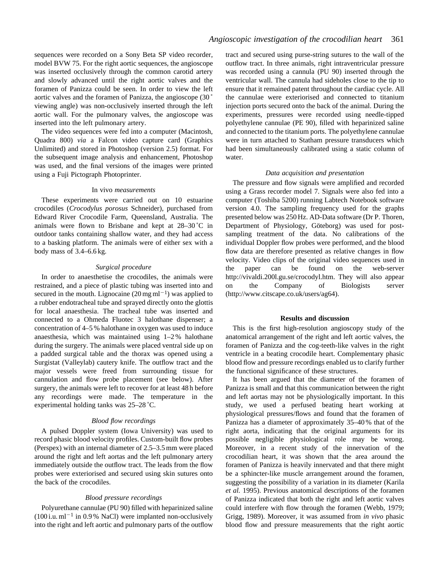sequences were recorded on a Sony Beta SP video recorder, model BVW 75. For the right aortic sequences, the angioscope was inserted occlusively through the common carotid artery and slowly advanced until the right aortic valves and the foramen of Panizza could be seen. In order to view the left aortic valves and the foramen of Panizza, the angioscope (30 ˚ viewing angle) was non-occlusively inserted through the left aortic wall. For the pulmonary valves, the angioscope was inserted into the left pulmonary artery.

The video sequences were fed into a computer (Macintosh, Quadra 800) *via* a Falcon video capture card (Graphics Unlimited) and stored in Photoshop (version 2.5) format. For the subsequent image analysis and enhancement, Photoshop was used, and the final versions of the images were printed using a Fuji Pictograph Photoprinter.

#### In vivo *measurements*

These experiments were carried out on 10 estuarine crocodiles (*Crocodylus porosus* Schneider), purchased from Edward River Crocodile Farm, Queensland, Australia. The animals were flown to Brisbane and kept at 28–30 ˚C in outdoor tanks containing shallow water, and they had access to a basking platform. The animals were of either sex with a body mass of 3.4–6.6 kg.

### *Surgical procedure*

In order to anaesthetise the crocodiles, the animals were restrained, and a piece of plastic tubing was inserted into and secured in the mouth. Lignocaine  $(20 \,\text{mg}\,\text{ml}^{-1})$  was applied to a rubber endotracheal tube and sprayed directly onto the glottis for local anaesthesia. The tracheal tube was inserted and connected to a Ohmeda Fluotec 3 halothane dispenser; a concentration of 4–5 % halothane in oxygen was used to induce anaesthesia, which was maintained using 1–2 % halothane during the surgery. The animals were placed ventral side up on a padded surgical table and the thorax was opened using a Surgistat (Valleylab) cautery knife. The outflow tract and the major vessels were freed from surrounding tissue for cannulation and flow probe placement (see below). After surgery, the animals were left to recover for at least 48 h before any recordings were made. The temperature in the experimental holding tanks was 25–28 ˚C.

## *Blood flow recordings*

A pulsed Doppler system (Iowa University) was used to record phasic blood velocity profiles. Custom-built flow probes (Perspex) with an internal diameter of 2.5–3.5 mm were placed around the right and left aortas and the left pulmonary artery immediately outside the outflow tract. The leads from the flow probes were exteriorised and secured using skin sutures onto the back of the crocodiles.

## *Blood pressure recordings*

Polyurethane cannulae (PU 90) filled with heparinized saline  $(100$  i.u. ml<sup>-1</sup> in 0.9% NaCl) were implanted non-occlusively into the right and left aortic and pulmonary parts of the outflow tract and secured using purse-string sutures to the wall of the outflow tract. In three animals, right intraventricular pressure was recorded using a cannula (PU 90) inserted through the ventricular wall. The cannula had sideholes close to the tip to ensure that it remained patent throughout the cardiac cycle. All the cannulae were exteriorised and connected to titanium injection ports secured onto the back of the animal. During the experiments, pressures were recorded using needle-tipped polyethylene cannulae (PE 90), filled with heparinized saline and connected to the titanium ports. The polyethylene cannulae were in turn attached to Statham pressure transducers which had been simultaneously calibrated using a static column of water.

### *Data acquisition and presentation*

The pressure and flow signals were amplified and recorded using a Grass recorder model 7. Signals were also fed into a computer (Toshiba 5200) running Labtech Notebook software version 4.0. The sampling frequency used for the graphs presented below was 250 Hz. AD-Data software (Dr P. Thoren, Department of Physiology, Göteborg) was used for postsampling treatment of the data. No calibrations of the individual Doppler flow probes were performed, and the blood flow data are therefore presented as relative changes in flow velocity. Video clips of the original video sequences used in the paper can be found on the web-server http://vivaldi.200l.gu.se/crocodyl.htm. They will also appear on the Company of Biologists server (http://www.citscape.co.uk/users/ag64).

#### **Results and discussion**

This is the first high-resolution angioscopy study of the anatomical arrangement of the right and left aortic valves, the foramen of Panizza and the cog-teeth-like valves in the right ventricle in a beating crocodile heart. Complementary phasic blood flow and pressure recordings enabled us to clarify further the functional significance of these structures.

It has been argued that the diameter of the foramen of Panizza is small and that this communication between the right and left aortas may not be physiologically important. In this study, we used a perfused beating heart working at physiological pressures/flows and found that the foramen of Panizza has a diameter of approximately 35–40 % that of the right aorta, indicating that the original arguments for its possible negligible physiological role may be wrong. Moreover, in a recent study of the innervation of the crocodilian heart, it was shown that the area around the foramen of Panizza is heavily innervated and that there might be a sphincter-like muscle arrangement around the foramen, suggesting the possibility of a variation in its diameter (Karila *et al.* 1995). Previous anatomical descriptions of the foramen of Panizza indicated that both the right and left aortic valves could interfere with flow through the foramen (Webb, 1979; Grigg, 1989). Moreover, it was assumed from *in vivo* phasic blood flow and pressure measurements that the right aortic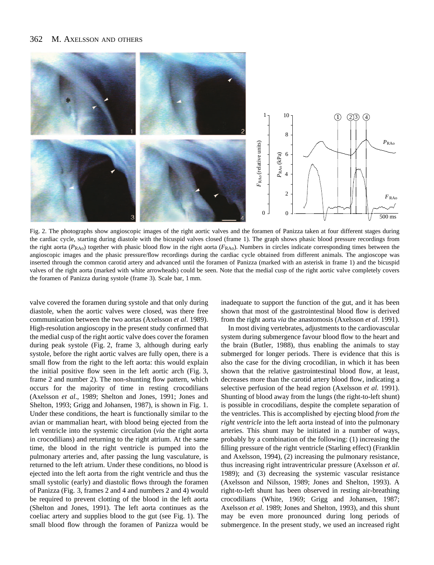#### 362 M. AXELSSON AND OTHERS



Fig. 2. The photographs show angioscopic images of the right aortic valves and the foramen of Panizza taken at four different stages during the cardiac cycle, starting during diastole with the bicuspid valves closed (frame 1). The graph shows phasic blood pressure recordings from the right aorta ( $P_{RAO}$ ) together with phasic blood flow in the right aorta ( $F_{RAO}$ ). Numbers in circles indicate corresponding times between the angioscopic images and the phasic pressure/flow recordings during the cardiac cycle obtained from different animals. The angioscope was inserted through the common carotid artery and advanced until the foramen of Panizza (marked with an asterisk in frame 1) and the bicuspid valves of the right aorta (marked with white arrowheads) could be seen. Note that the medial cusp of the right aortic valve completely covers the foramen of Panizza during systole (frame 3). Scale bar, 1 mm.

valve covered the foramen during systole and that only during diastole, when the aortic valves were closed, was there free communication between the two aortas (Axelsson *et al*. 1989). High-resolution angioscopy in the present study confirmed that the medial cusp of the right aortic valve does cover the foramen during peak systole (Fig. 2, frame 3, although during early systole, before the right aortic valves are fully open, there is a small flow from the right to the left aorta: this would explain the initial positive flow seen in the left aortic arch (Fig. 3, frame 2 and number 2). The non-shunting flow pattern, which occurs for the majority of time in resting crocodilians (Axelsson *et al*., 1989; Shelton and Jones, 1991; Jones and Shelton, 1993; Grigg and Johansen, 1987), is shown in Fig. 1. Under these conditions, the heart is functionally similar to the avian or mammalian heart, with blood being ejected from the left ventricle into the systemic circulation (*via* the right aorta in crocodilians) and returning to the right atrium. At the same time, the blood in the right ventricle is pumped into the pulmonary arteries and, after passing the lung vasculature, is returned to the left atrium. Under these conditions, no blood is ejected into the left aorta from the right ventricle and thus the small systolic (early) and diastolic flows through the foramen of Panizza (Fig. 3, frames 2 and 4 and numbers 2 and 4) would be required to prevent clotting of the blood in the left aorta (Shelton and Jones, 1991). The left aorta continues as the coeliac artery and supplies blood to the gut (see Fig. 1). The small blood flow through the foramen of Panizza would be

inadequate to support the function of the gut, and it has been shown that most of the gastrointestinal blood flow is derived from the right aorta *via* the anastomosis (Axelsson *et al*. 1991).

In most diving vertebrates, adjustments to the cardiovascular system during submergence favour blood flow to the heart and the brain (Butler, 1988), thus enabling the animals to stay submerged for longer periods. There is evidence that this is also the case for the diving crocodilian, in which it has been shown that the relative gastrointestinal blood flow, at least, decreases more than the carotid artery blood flow, indicating a selective perfusion of the head region (Axelsson *et al.* 1991). Shunting of blood away from the lungs (the right-to-left shunt) is possible in crocodilians, despite the complete separation of the ventricles. This is accomplished by ejecting blood *from the right ventricle* into the left aorta instead of into the pulmonary arteries. This shunt may be initiated in a number of ways, probably by a combination of the following: (1) increasing the filling pressure of the right ventricle (Starling effect) (Franklin and Axelsson, 1994), (2) increasing the pulmonary resistance, thus increasing right intraventricular pressure (Axelsson *et al*. 1989); and (3) decreasing the systemic vascular resistance (Axelsson and Nilsson, 1989; Jones and Shelton, 1993). A right-to-left shunt has been observed in resting air-breathing crocodilians (White, 1969; Grigg and Johansen, 1987; Axelsson *et al*. 1989; Jones and Shelton, 1993), and this shunt may be even more pronounced during long periods of submergence. In the present study, we used an increased right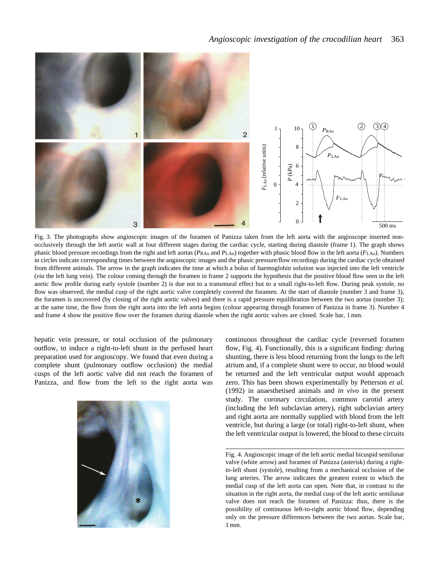

Fig. 3. The photographs show angioscopic images of the foramen of Panizza taken from the left aorta with the angioscope inserted nonocclusively through the left aortic wall at four different stages during the cardiac cycle, starting during diastole (frame 1). The graph shows phasic blood pressure recordings from the right and left aortas ( $P_{\rm RAO}$  and  $P_{\rm LAO}$ ) together with phasic blood flow in the left aorta ( $F_{\rm LAO}$ ). Numbers in circles indicate corresponding times between the angioscopic images and the phasic pressure/flow recordings during the cardiac cycle obtained from different animals. The arrow in the graph indicates the time at which a bolus of haemoglobin solution was injected into the left ventricle (*via* the left lung vein). The colour coming through the foramen in frame 2 supports the hypothesis that the positive blood flow seen in the left aortic flow profile during early systole (number 2) is due not to a transmural effect but to a small right-to-left flow. During peak systole, no flow was observed; the medial cusp of the right aortic valve completely covered the foramen. At the start of diastole (number 3 and frame 3), the foramen is uncovered (by closing of the right aortic valves) and there is a rapid pressure equilibration between the two aortas (number 3); at the same time, the flow from the right aorta into the left aorta begins (colour appearing through foramen of Panizza in frame 3). Number 4 and frame 4 show the positive flow over the foramen during diastole when the right aortic valves are closed. Scale bar, 1 mm.

hepatic vein pressure, or total occlusion of the pulmonary outflow, to induce a right-to-left shunt in the perfused heart preparation used for angioscopy. We found that even during a complete shunt (pulmonary outflow occlusion) the medial cusps of the left aortic valve did not reach the foramen of Panizza, and flow from the left to the right aorta was



continuous throughout the cardiac cycle (reversed foramen flow, Fig. 4). Functionally, this is a significant finding: during shunting, there is less blood returning from the lungs to the left atrium and, if a complete shunt were to occur, no blood would be returned and the left ventricular output would approach zero. This has been shown experimentally by Petterson *et al.* (1992) in anaesthetised animals and *in vivo* in the present study. The coronary circulation, common carotid artery (including the left subclavian artery), right subclavian artery and right aorta are normally supplied with blood from the left ventricle, but during a large (or total) right-to-left shunt, when the left ventricular output is lowered, the blood to these circuits

Fig. 4. Angioscopic image of the left aortic medial bicuspid semilunar valve (white arrow) and foramen of Panizza (asterisk) during a rightto-left shunt (systole), resulting from a mechanical occlusion of the lung arteries. The arrow indicates the greatest extent to which the medial cusp of the left aorta can open. Note that, in contrast to the situation in the right aorta, the medial cusp of the left aortic semilunar valve does not reach the foramen of Panizza: thus, there is the possibility of continuous left-to-right aortic blood flow, depending only on the pressure differences between the two aortas. Scale bar, 1 mm.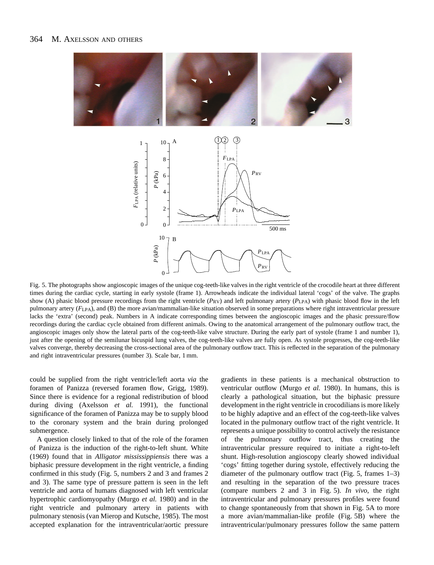

Fig. 5. The photographs show angioscopic images of the unique cog-teeth-like valves in the right ventricle of the crocodile heart at three different times during the cardiac cycle, starting in early systole (frame 1). Arrowheads indicate the individual lateral 'cogs' of the valve. The graphs show (A) phasic blood pressure recordings from the right ventricle (*P<sub>RV</sub>*) and left pulmonary artery (*P<sub>LPA</sub>*) with phasic blood flow in the left pulmonary artery ( $F_{LPA}$ ), and (B) the more avian/mammalian-like situation observed in some preparations where right intraventricular pressure lacks the 'extra' (second) peak. Numbers in A indicate corresponding times between the angioscopic images and the phasic pressure/flow recordings during the cardiac cycle obtained from different animals. Owing to the anatomical arrangement of the pulmonary outflow tract, the angioscopic images only show the lateral parts of the cog-teeth-like valve structure. During the early part of systole (frame 1 and number 1), just after the opening of the semilunar bicuspid lung valves, the cog-teeth-like valves are fully open. As systole progresses, the cog-teeth-like valves converge, thereby decreasing the cross-sectional area of the pulmonary outflow tract. This is reflected in the separation of the pulmonary and right intraventricular pressures (number 3). Scale bar, 1 mm.

could be supplied from the right ventricle/left aorta *via* the foramen of Panizza (reversed foramen flow, Grigg, 1989). Since there is evidence for a regional redistribution of blood during diving (Axelsson *et al.* 1991), the functional significance of the foramen of Panizza may be to supply blood to the coronary system and the brain during prolonged submergence.

A question closely linked to that of the role of the foramen of Panizza is the induction of the right-to-left shunt. White (1969) found that in *Alligator mississippiensis* there was a biphasic pressure development in the right ventricle, a finding confirmed in this study (Fig. 5, numbers 2 and 3 and frames 2 and 3). The same type of pressure pattern is seen in the left ventricle and aorta of humans diagnosed with left ventricular hypertrophic cardiomyopathy (Murgo *et al.* 1980) and in the right ventricle and pulmonary artery in patients with pulmonary stenosis (van Mierop and Kutsche, 1985). The most accepted explanation for the intraventricular/aortic pressure

gradients in these patients is a mechanical obstruction to ventricular outflow (Murgo *et al.* 1980). In humans, this is clearly a pathological situation, but the biphasic pressure development in the right ventricle in crocodilians is more likely to be highly adaptive and an effect of the cog-teeth-like valves located in the pulmonary outflow tract of the right ventricle. It represents a unique possibility to control actively the resistance of the pulmonary outflow tract, thus creating the intraventricular pressure required to initiate a right-to-left shunt. High-resolution angioscopy clearly showed individual 'cogs' fitting together during systole, effectively reducing the diameter of the pulmonary outflow tract (Fig. 5, frames 1–3) and resulting in the separation of the two pressure traces (compare numbers 2 and 3 in Fig. 5). *In vivo*, the right intraventricular and pulmonary pressures profiles were found to change spontaneously from that shown in Fig. 5A to more a more avian/mammalian-like profile (Fig. 5B) where the intraventricular/pulmonary pressures follow the same pattern